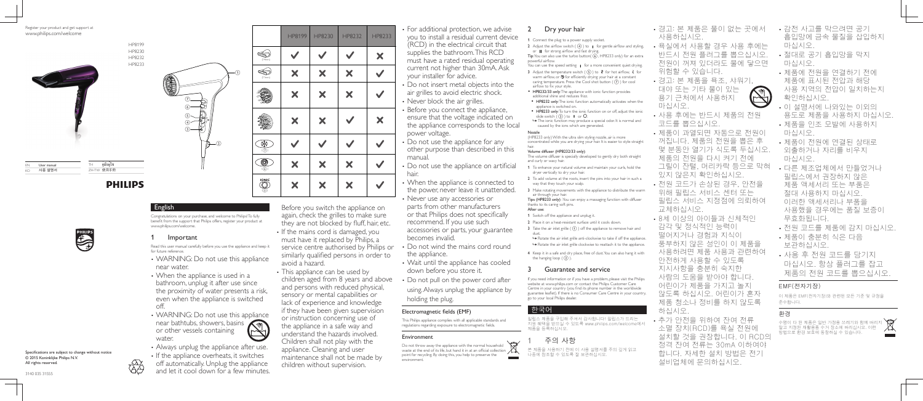### English

Congratulations on your purchase, and welcome to Philips! To fully benefit from the support that Philips offers, register your product at www.philips.com/welcome.

## **Important**

Read this user manual carefully before you use the appliance and keep it for future reference.

- WARNING: Do not use this appliance near water.
- When the appliance is used in a bathroom, unplug it after use since the proximity of water presents a risk, even when the appliance is switched off.
- WARNING: Do not use this appliance near bathtubs, showers, basins or other vessels containing water.
- Always unplug the appliance after use.
- If the appliance overheats, it switches off automatically. Unplug the appliance and let it cool down for a few minutes.

Before you switch the appliance on again, check the grilles to make sure they are not blocked by fluff, hair, etc.

- If the mains cord is damaged, you must have it replaced by Philips, a service centre authorised by Philips or similarly qualified persons in order to avoid a hazard.
- This appliance can be used by children aged from 8 years and above and persons with reduced physical, sensory or mental capabilities or lack of experience and knowledge if they have been given supervision or instruction concerning use of the appliance in a safe way and understand the hazards involved. Children shall not play with the appliance. Cleaning and user maintenance shall not be made by children without supervision.

This Philips appliance complies with all applicable standards and regulations regarding exposure to electromagnetic fields.

 For additional protection, we advise you to install a residual current device (RCD) in the electrical circuit that supplies the bathroom. This RCD must have a rated residual operating current not higher than 30mA. Ask your installer for advice.

- 2 Adjust the airflow switch  $(4)$  to  $\mathsf I$  for gentle airflow and styling, or **II** for strong airflow and fast drying.
- Tip: You can also use the turbo button( $\tilde{(6)}$ , HP8233 only) for an extra powerful airflow.
- You can use the speed setting  $\parallel$  for a more convenient quiet drying. 3 Adjust the temperature switch ( $(5)$ ) to  $\ell$  for hot airflow,  $\ell$  for
- warm airflow, or  $\mathcal D$  for efficiently drying your hair at a constant caring temperature. Press the Cool shot button  $($  $)$ ) for cool airflow to fix your style.
- HP8232/33 only: The appliance with ionic function provides additional shine and reduces frizz.
- HP8232 only: The ionic function automatically activates when the appliance is switched on.
- HP8233 only: To turn the ionic function on or off, adjust the ionic slide switch  $(3)$  to  $\Box$  or  $\Box$ .
- » The ionic function may produce a special odor. It is normal and caused by the ions which are generated.
- Do not insert metal objects into the air grilles to avoid electric shock. • Never block the air grilles.
- Before you connect the appliance, ensure that the voltage indicated on the appliance corresponds to the local power voltage.
- Do not use the appliance for any other purpose than described in this manual.
- Do not use the appliance on artificial hair.
- When the appliance is connected to the power, never leave it unattended.
- Never use any accessories or parts from other manufacturers or that Philips does not specifically recommend. If you use such accessories or parts, your guarantee becomes invalid.
- Do not wind the mains cord round the appliance.
- Wait until the appliance has cooled down before you store it.
- Do not pull on the power cord after using. Always unplug the appliance by holding the plug.

### Electromagnetic fields (EMF)

### Environment

Do not throw away the appliance with the normal household waste at the end of its life, but hand it in at an official collection point for recycling. By doing this, you help to preserve the environment.



## 2 Dry your hair

1 Connect the plug to a power supply socket.

Nozzle (HP8233 only) With the ultra slim styling nozzle, air is more concentrated while you are drying your hair. It is easier to style straight

# hair.<br>Volume diffuser (HP8232/33 only):

- The volume diffuser is specially developed to gently dry both straight and curly or wavy hair.
- 1 To enhance your natural volume and maintain your curls, hold the dryer vertically to dry your hair.
- 2 To add volume at the roots, insert the pins into your hair in such a way that they touch your scalp.
- 3 Make rotating movements with the appliance to distribute the warm air through your hair.
- Tips (HP8233 only) : You can enjoy a massaging function with diffuser thanks to its caring soft pins.

### After use:

- 1 Switch off the appliance and unplug it.
- 2 Place it on a heat-resistant surface until it cools down. 3 Take the air inlet grille  $( \bigcap )$  off the appliance to remove hair and
- dust. » Rotate the air inlet grille anti-clockwise to take if off the appliance.
- » Rotate the air inlet grille clockwise to reattach it to the appliance.
- 4 Keep it in a safe and dry place, free of dust. You can also hang it with the hanging loop  $( 2 )$ .

## Guarantee and service

If you need information or if you have a problem, please visit the Philips website at www.philips.com or contact the Philips Customer Care Centre in your country (you find its phone number in the worldwide guarantee leaflet). If there is no Consumer Care Centre in your country, go to your local Philips dealer.

### 한국어

필립스 제품을 구입해 주셔서 감사합니다! 필립스가 드리는 지원 혜택을 받으실 수 있도록 www.philips.com/welcome에서 제품을 등록하십시오.

# 주의 사항

본 제품을 사용하기 전에 이 사용 설명서를 주의 깊게 읽고 나중에 참조할 수 있도록 잘 보관하십시오.

- 경고: 본 제품은 물이 없는 곳에서 사용하십시오.
- · 욕실에서 사용할 경우 사용 후에는 반드시 전원 플러그를 뽑으십시오 전원이 꺼져 있더라도 물에 닿으면 위험할 수 있습니다.
- 경고: 본 제품을 욕조, 샤워기, 대야 또는 기타 물이 있는 용기 근처에서 사용하지 마십시오.
- 사용 후에는 반드시 제품의 전원 코드를 뽑으십시오
- 제품이 과열되면 자동으로 전원이 꺼집니다. 제품의 전원을 뽑은 후 몇 분동안 열기가 식도록 두십시오. 제품의 전원을 다시 켜기 전에 그릴이 잔털, 머리카락 등으로 막혀 있지 않은지 확인하십시오
- 전원 코드가 손상된 경우, 안전을 위해 필립스 서비스 센터 또는 필립스 서비스 지정점에 의뢰하여 교체하십시오.
- 8세 이상의 아이들과 신체적인 감각 및 정식적인 능력이 떨어지거나 경험과 지식이 풍부하지 않은 성인이 이 제품을 사용하려면 제품 사용과 관련하여 안전하게 사용할 수 있도록 지시사항을 충분히 숙지한 사람의 도움을 받아야 합니다 어린이가 제품을 가지고 놀지 않도록 하십시오. 어린이가 혼자 제품 청소나 정비를 하지 않도록 하십시오.
- 추가 안전을 위하여 잔여 전류 소멸 장치(RCD)를 욕실 전원에 설치할 것을 권장합니다. 이 RCD의 정격 잔여 전류는 30mA 이하여야 합니다. 자세한 설치 방법은 전기 설비업체에 문의하십시오.
- 감전 사고를 막으려면 공기 흡입망에 금속 물질을 삽입하지 마십시오.
- 절대로 공기 흡입망을 막지 마십시오.
- 제품에 전원을 연결하기 전에 제품에 표시된 전압과 해당 사용 지역의 전압이 일치하는지 확인하십시오.
- 이 설명서에 나와있는 이외의 용도로 제품을 사용하지 마십시오.
- 제품을 인조 모발에 사용하지 마십시오
- 제품이 전원에 연결된 상태로 외출하거나 자리를 비우지 마십시오
- 다른 제조업체에서 만들었거나 필립스에서 권장하지 않은 제품 액세서리 또는 부품은 절대 사용하지 마십시오 이러한 액세서리나 부품을 사용했을 경우에는 품질 보증이 무효화됩니다.
- 전원 코드를 제품에 감지 마십시오.
- 제품이 충분히 식은 다음 보관하십시오.
- 사용 후 전원 코드를 당기지 마십시오. 항상 플러그를 잡고 제품의 전원 코드를 뽑으십시오

### EMF(전자기장)

이 제품은 EMF(전자기장)와 관련된 모든 기준 및 규정을 준수합니다.

### 환경

수명이 다 된 제품은 일반 가정용 쓰레기와 함께 버리지 \, 말고 지정된 재활용품 수거 장소에 버리십시오. 이런 방법으로 환경 보호에 동참하실 수 있습니다.





Register your product and get support at www.philips.com/welcome



HP8199

HP8230 HP8232 HP8233

| FM | User manual |
|----|-------------|
|    | 사용 설명서      |

# **PHILIPS**

คู่มือผู้ใช ZH-TW 使用手冊



Specifications are subject to change without notice  $\odot$  2015 Koninklijke Philips N.V. All rights reserved.



3140 035 31555



|   |                              | HP8199 | HP8230 | HP8232 | HP8233 |
|---|------------------------------|--------|--------|--------|--------|
|   | (14mm)                       |        |        |        | ×      |
| ① | (11mm)                       | ×      | X      | X      |        |
|   |                              | X      | X      | X      |        |
|   |                              | ×      | ×      |        | ×      |
|   | 搽<br>$\overline{(\bigcirc)}$ |        |        |        |        |
|   | O<br>(6)                     | ×      | ×      | ×      |        |
|   | <b>IONIC</b><br>(3)          | X      | X      | X      |        |